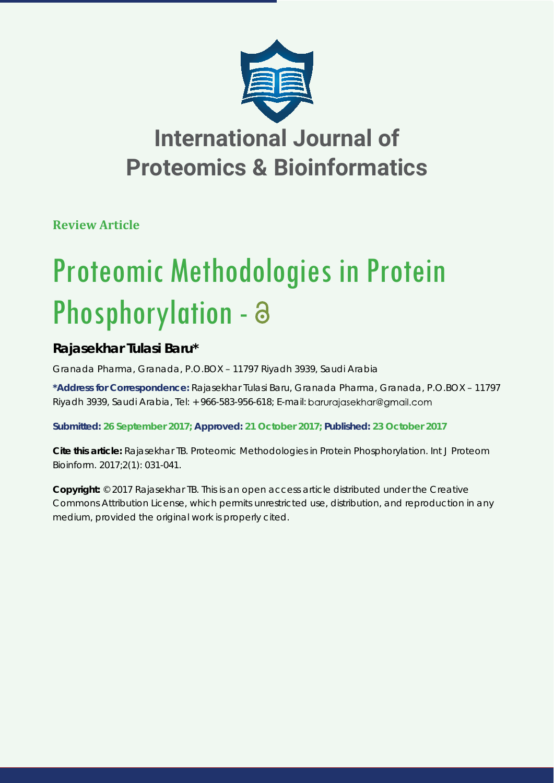

**Review Article**

# Proteomic Methodologies in Protein Phosphorylation - a

### **Rajasekhar Tulasi Baru\***

*Granada Pharma, Granada, P.O.BOX – 11797 Riyadh 3939, Saudi Arabia*

**\*Address for Correspondence:** Rajasekhar Tulasi Baru, Granada Pharma, Granada, P.O.BOX – 11797 Rivadh 3939, Saudi Arabia, Tel: + 966-583-956-618; E-mail: barurajasekhar@gmail.com

**Submitted: 26 September 2017; Approved: 21 October 2017; Published: 23 October 2017**

**Cite this article:** Rajasekhar TB. Proteomic Methodologies in Protein Phosphorylation. Int J Proteom Bioinform. 2017;2(1): 031-041.

**Copyright:** © 2017 Rajasekhar TB. This is an open access article distributed under the Creative Commons Attribution License, which permits unrestricted use, distribution, and reproduction in any medium, provided the original work is properly cited.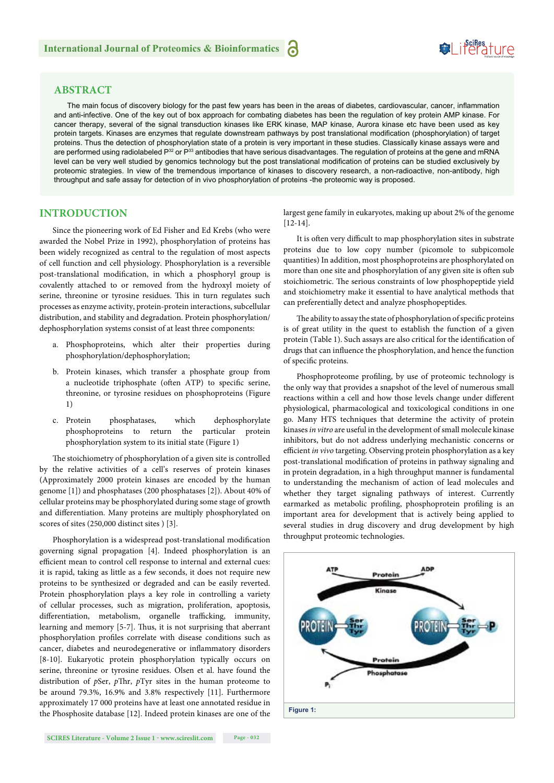#### **ABSTRACT**

The main focus of discovery biology for the past few years has been in the areas of diabetes, cardiovascular, cancer, inflammation and anti-infective. One of the key out of box approach for combating diabetes has been the regulation of key protein AMP kinase. For cancer therapy, several of the signal transduction kinases like ERK kinase, MAP kinase, Aurora kinase etc have been used as key protein targets. Kinases are enzymes that regulate downstream pathways by post translational modification (phosphorylation) of target proteins. Thus the detection of phosphorylation state of a protein is very important in these studies. Classically kinase assays were and are performed using radiolabeled P<sup>32</sup> or P<sup>33</sup> antibodies that have serious disadvantages. The regulation of proteins at the gene and mRNA level can be very well studied by genomics technology but the post translational modification of proteins can be studied exclusively by proteomic strategies. In view of the tremendous importance of kinases to discovery research, a non-radioactive, non-antibody, high throughput and safe assay for detection of in vivo phosphorylation of proteins -the proteomic way is proposed.

#### **INTRODUCTION**

Since the pioneering work of Ed Fisher and Ed Krebs (who were awarded the Nobel Prize in 1992), phosphorylation of proteins has been widely recognized as central to the regulation of most aspects of cell function and cell physiology. Phosphorylation is a reversible post-translational modification, in which a phosphoryl group is covalently attached to or removed from the hydroxyl moiety of serine, threonine or tyrosine residues. This in turn regulates such processes as enzyme activity, protein-protein interactions, subcellular distribution, and stability and degradation. Protein phosphorylation/ dephosphorylation systems consist of at least three components:

- a. Phosphoproteins, which alter their properties during phosphorylation/dephosphorylation;
- b. Protein kinases, which transfer a phosphate group from a nucleotide triphosphate (often ATP) to specific serine, threonine, or tyrosine residues on phosphoproteins (Figure 1)
- c. Protein phosphatases, which dephosphorylate phosphoproteins to return the particular protein phosphorylation system to its initial state (Figure 1)

The stoichiometry of phosphorylation of a given site is controlled by the relative activities of a cell's reserves of protein kinases (Approximately 2000 protein kinases are encoded by the human genome [1]) and phosphatases (200 phosphatases [2]). About 40% of cellular proteins may be phosphorylated during some stage of growth and differentiation. Many proteins are multiply phosphorylated on scores of sites (250,000 distinct sites ) [3].

Phosphorylation is a widespread post-translational modification governing signal propagation [4]. Indeed phosphorylation is an efficient mean to control cell response to internal and external cues: it is rapid, taking as little as a few seconds, it does not require new proteins to be synthesized or degraded and can be easily reverted. Protein phosphorylation plays a key role in controlling a variety of cellular processes, such as migration, proliferation, apoptosis, differentiation, metabolism, organelle trafficking, immunity, learning and memory [5-7]. Thus, it is not surprising that aberrant phosphorylation profiles correlate with disease conditions such as cancer, diabetes and neurodegenerative or inflammatory disorders [8-10]. Eukaryotic protein phosphorylation typically occurs on serine, threonine or tyrosine residues. Olsen et al. have found the distribution of *pSer*, *pThr*, *pTyr* sites in the human proteome to be around 79.3%, 16.9% and 3.8% respectively [11]. Furthermore approximately 17 000 proteins have at least one annotated residue in the Phosphosite database [12]. Indeed protein kinases are one of the largest gene family in eukaryotes, making up about 2% of the genome [12-14].

It is often very difficult to map phosphorylation sites in substrate proteins due to low copy number (picomole to subpicomole quantities) In addition, most phosphoproteins are phosphorylated on more than one site and phosphorylation of any given site is often sub stoichiometric. The serious constraints of low phosphopeptide yield and stoichiometry make it essential to have analytical methods that can preferentially detect and analyze phosphopeptides.

The ability to assay the state of phosphorylation of specific proteins is of great utility in the quest to establish the function of a given protein (Table 1). Such assays are also critical for the identification of drugs that can influence the phosphorylation, and hence the function of specific proteins.

Phosphoproteome profiling, by use of proteomic technology is the only way that provides a snapshot of the level of numerous small reactions within a cell and how those levels change under different physiological, pharmacological and toxicological conditions in one go. Many HTS techniques that determine the activity of protein kinases *in vitro* are useful in the development of small molecule kinase inhibitors, but do not address underlying mechanistic concerns or efficient *in vivo* targeting. Observing protein phosphorylation as a key post-translational modification of proteins in pathway signaling and in protein degradation, in a high throughput manner is fundamental to understanding the mechanism of action of lead molecules and whether they target signaling pathways of interest. Currently earmarked as metabolic profiling, phosphoprotein profiling is an important area for development that is actively being applied to several studies in drug discovery and drug development by high throughput proteomic technologies.

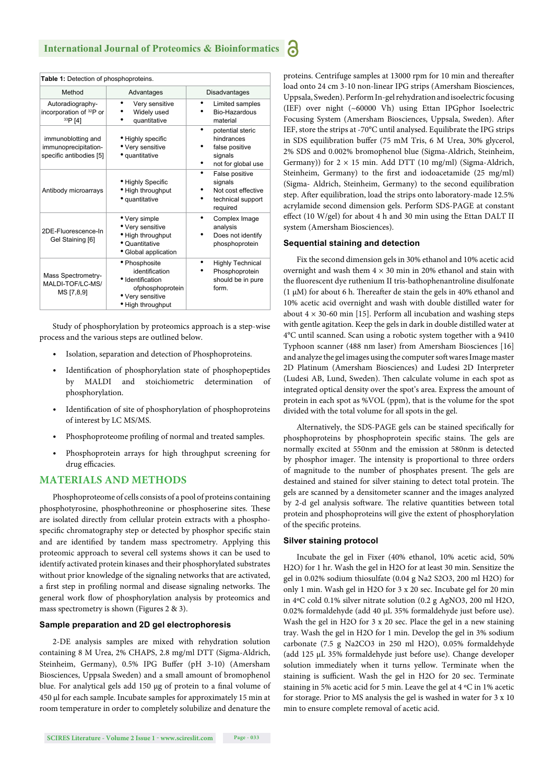| Table 1: Detection of phosphoproteins.                                |                                                                                                                  |                                                                                   |
|-----------------------------------------------------------------------|------------------------------------------------------------------------------------------------------------------|-----------------------------------------------------------------------------------|
| Method                                                                | Advantages                                                                                                       | <b>Disadvantages</b>                                                              |
| Autoradiography-<br>incorporation of 32P or<br>33P [4]                | Very sensitive<br>Widely used<br>quantitative                                                                    | Limited samples<br>Bio-Hazardous<br>material                                      |
| immunoblotting and<br>immunoprecipitation-<br>specific antibodies [5] | • Highly specific<br>• Very sensitive<br>• quantitative                                                          | potential steric<br>hindrances<br>false positive<br>signals<br>not for global use |
| Antibody microarrays                                                  | • Highly Specific<br>• High throughput<br>• quantitative                                                         | False positive<br>signals<br>Not cost effective<br>technical support<br>required  |
| 2DE-Fluorescence-In<br>Gel Staining [6]                               | • Very simple<br>• Very sensitive<br>• High throughput<br>• Quantitative<br>• Global application                 | Complex Image<br>analysis<br>Does not identify<br>phosphoprotein                  |
| <b>Mass Spectrometry-</b><br>MALDI-TOF/LC-MS/<br>MS [7,8,9]           | • Phosphosite<br>identification<br>· Identification<br>ofphosphoprotein<br>• Very sensitive<br>• High throughput | <b>Highly Technical</b><br>Phosphoprotein<br>should be in pure<br>form.           |

Study of phosphorylation by proteomics approach is a step-wise process and the various steps are outlined below.

- Isolation, separation and detection of Phosphoproteins.
- Identification of phosphorylation state of phosphopeptides by MALDI and stoichiometric determination phosphorylation.
- Identification of site of phosphorylation of phosphoproteins of interest by LC MS/MS.
- Phosphoproteome profiling of normal and treated samples.
- Phosphoprotein arrays for high throughput screening for drug efficacies.

#### **MATERIALS AND METHODS**

Phosphoproteome of cells consists of a pool of proteins containing phosphotyrosine, phosphothreonine or phosphoserine sites. These are isolated directly from cellular protein extracts with a phosphospecific chromatography step or detected by phosphor specific stain and are identified by tandem mass spectrometry. Applying this proteomic approach to several cell systems shows it can be used to identify activated protein kinases and their phosphorylated substrates without prior knowledge of the signaling networks that are activated, a first step in profiling normal and disease signaling networks. The general work flow of phosphorylation analysis by proteomics and mass spectrometry is shown (Figures 2 & 3).

#### **Sample preparation and 2D gel electrophoresis**

2-DE analysis samples are mixed with rehydration solution containing 8 M Urea, 2% CHAPS, 2.8 mg/ml DTT (Sigma-Aldrich, Steinheim, Germany), 0.5% IPG Buffer (pH 3-10) (Amersham Biosciences, Uppsala Sweden) and a small amount of bromophenol blue. For analytical gels add 150 μg of protein to a final volume of 450 μl for each sample. Incubate samples for approximately 15 min at room temperature in order to completely solubilize and denature the proteins. Centrifuge samples at 13000 rpm for 10 min and thereafter load onto 24 cm 3-10 non-linear IPG strips (Amersham Biosciences, Uppsala, Sweden). Perform In-gel rehydration and isoelectric focusing (IEF) over night (~60000 Vh) using Ettan IPGphor Isoelectric Focusing System (Amersham Biosciences, Uppsala, Sweden). After IEF, store the strips at -70°C until analysed. Equilibrate the IPG strips in SDS equilibration buffer (75 mM Tris, 6 M Urea, 30% glycerol, 2% SDS and 0.002% bromophenol blue (Sigma-Aldrich, Steinheim, Germany)) for  $2 \times 15$  min. Add DTT (10 mg/ml) (Sigma-Aldrich, Steinheim, Germany) to the first and iodoacetamide (25 mg/ml) (Sigma- Aldrich, Steinheim, Germany) to the second equilibration step. After equilibration, load the strips onto laboratory-made 12.5% acrylamide second dimension gels. Perform SDS-PAGE at constant effect (10 W/gel) for about 4 h and 30 min using the Ettan DALT II system (Amersham Biosciences).

#### **Sequential staining and detection**

Fix the second dimension gels in 30% ethanol and 10% acetic acid overnight and wash them  $4 \times 30$  min in 20% ethanol and stain with the fluorescent dye ruthenium II tris-bathophenantroline disulfonate (1  $\mu$ M) for about 6 h. Thereafter de stain the gels in 40% ethanol and 10% acetic acid overnight and wash with double distilled water for about  $4 \times 30$ -60 min [15]. Perform all incubation and washing steps with gentle agitation. Keep the gels in dark in double distilled water at 4°C until scanned. Scan using a robotic system together with a 9410 Typhoon scanner (488 nm laser) from Amersham Biosciences [16] and analyze the gel images using the computer soft wares Image master 2D Platinum (Amersham Biosciences) and Ludesi 2D Interpreter (Ludesi AB, Lund, Sweden). Then calculate volume in each spot as integrated optical density over the spot's area. Express the amount of protein in each spot as %VOL (ppm), that is the volume for the spot divided with the total volume for all spots in the gel.

Alternatively, the SDS-PAGE gels can be stained specifically for phosphoproteins by phosphoprotein specific stains. The gels are normally excited at 550nm and the emission at 580nm is detected by phosphor imager. The intensity is proportional to three orders of magnitude to the number of phosphates present. The gels are destained and stained for silver staining to detect total protein. The gels are scanned by a densitometer scanner and the images analyzed by 2-d gel analysis software. The relative quantities between total protein and phosphoproteins will give the extent of phosphorylation of the specific proteins.

#### **Silver staining protocol**

Incubate the gel in Fixer (40% ethanol, 10% acetic acid, 50% H2O) for 1 hr. Wash the gel in H2O for at least 30 min. Sensitize the gel in 0.02% sodium thiosulfate (0.04 g Na2 S2O3, 200 ml H2O) for only 1 min. Wash gel in H2O for 3 x 20 sec. Incubate gel for 20 min in 4ºC cold 0.1% silver nitrate solution (0.2 g AgNO3, 200 ml H2O, 0.02% formaldehyde (add 40 μL 35% formaldehyde just before use). Wash the gel in H2O for 3 x 20 sec. Place the gel in a new staining tray. Wash the gel in H2O for 1 min. Develop the gel in 3% sodium carbonate (7.5 g Na2CO3 in 250 ml H2O), 0.05% formaldehyde (add 125 μL 35% formaldehyde just before use). Change developer solution immediately when it turns yellow. Terminate when the staining is sufficient. Wash the gel in H2O for 20 sec. Terminate staining in 5% acetic acid for 5 min. Leave the gel at 4 ºC in 1% acetic for storage. Prior to MS analysis the gel is washed in water for 3 x 10 min to ensure complete removal of acetic acid.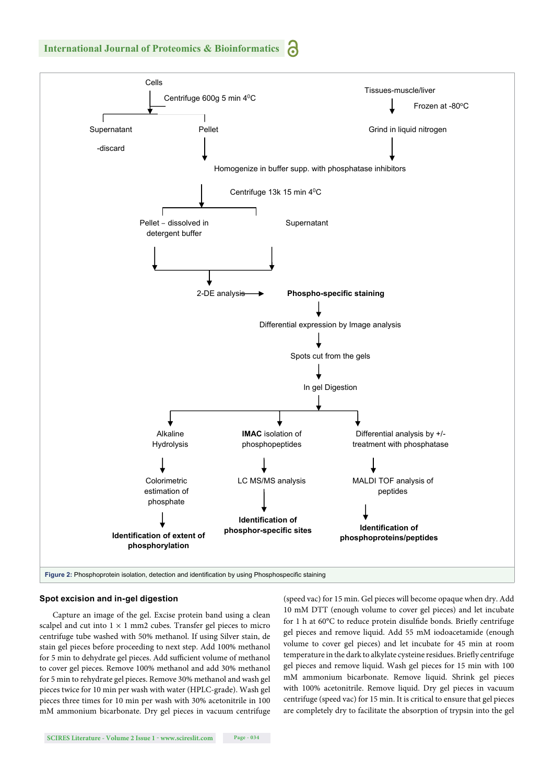

#### **Spot excision and in-gel digestion**

Capture an image of the gel. Excise protein band using a clean scalpel and cut into  $1 \times 1$  mm2 cubes. Transfer gel pieces to micro centrifuge tube washed with 50% methanol. If using Silver stain, de stain gel pieces before proceeding to next step. Add 100% methanol for 5 min to dehydrate gel pieces. Add sufficient volume of methanol to cover gel pieces. Remove 100% methanol and add 30% methanol for 5 min to rehydrate gel pieces. Remove 30% methanol and wash gel pieces twice for 10 min per wash with water (HPLC-grade). Wash gel pieces three times for 10 min per wash with 30% acetonitrile in 100 mM ammonium bicarbonate. Dry gel pieces in vacuum centrifuge (speed vac) for 15 min. Gel pieces will become opaque when dry. Add 10 mM DTT (enough volume to cover gel pieces) and let incubate for 1 h at 60°C to reduce protein disulfide bonds. Briefly centrifuge gel pieces and remove liquid. Add 55 mM iodoacetamide (enough volume to cover gel pieces) and let incubate for 45 min at room temperature in the dark to alkylate cysteine residues. Briefly centrifuge gel pieces and remove liquid. Wash gel pieces for 15 min with 100 mM ammonium bicarbonate. Remove liquid. Shrink gel pieces with 100% acetonitrile. Remove liquid. Dry gel pieces in vacuum centrifuge (speed vac) for 15 min. It is critical to ensure that gel pieces are completely dry to facilitate the absorption of trypsin into the gel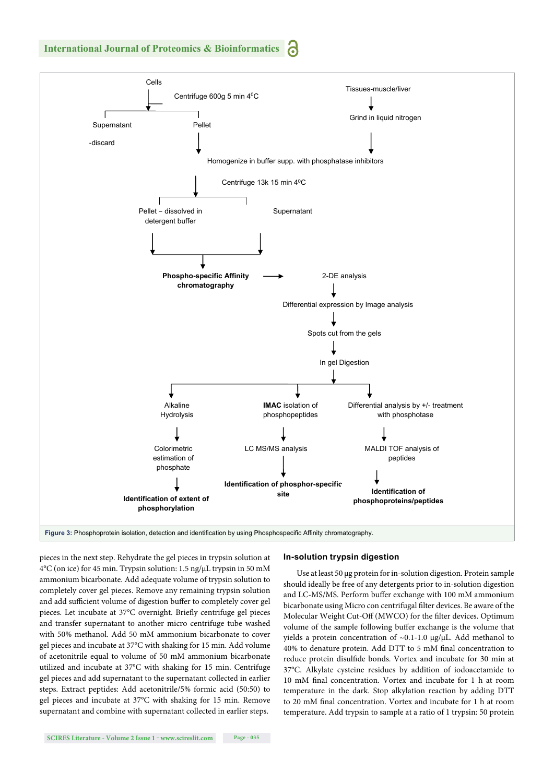

pieces in the next step. Rehydrate the gel pieces in trypsin solution at 4°C (on ice) for 45 min. Trypsin solution: 1.5 ng/μL trypsin in 50 mM ammonium bicarbonate. Add adequate volume of trypsin solution to completely cover gel pieces. Remove any remaining trypsin solution and add sufficient volume of digestion buffer to completely cover gel pieces. Let incubate at 37°C overnight. Briefly centrifuge gel pieces and transfer supernatant to another micro centrifuge tube washed with 50% methanol. Add 50 mM ammonium bicarbonate to cover gel pieces and incubate at 37°C with shaking for 15 min. Add volume of acetonitrile equal to volume of 50 mM ammonium bicarbonate utilized and incubate at 37°C with shaking for 15 min. Centrifuge gel pieces and add supernatant to the supernatant collected in earlier steps. Extract peptides: Add acetonitrile/5% formic acid (50:50) to gel pieces and incubate at 37°C with shaking for 15 min. Remove supernatant and combine with supernatant collected in earlier steps.

#### **In-solution trypsin digestion**

Use at least 50 μg protein for in-solution digestion. Protein sample should ideally be free of any detergents prior to in-solution digestion and LC-MS/MS. Perform buffer exchange with 100 mM ammonium bicarbonate using Micro con centrifugal filter devices. Be aware of the Molecular Weight Cut-Off (MWCO) for the filter devices. Optimum volume of the sample following buffer exchange is the volume that yields a protein concentration of  $~0.1$ -1.0 μg/μL. Add methanol to 40% to denature protein. Add DTT to 5 mM final concentration to reduce protein disulfide bonds. Vortex and incubate for 30 min at 37°C. Alkylate cysteine residues by addition of iodoacetamide to 10 mM final concentration. Vortex and incubate for 1 h at room temperature in the dark. Stop alkylation reaction by adding DTT to 20 mM final concentration. Vortex and incubate for 1 h at room temperature. Add trypsin to sample at a ratio of 1 trypsin: 50 protein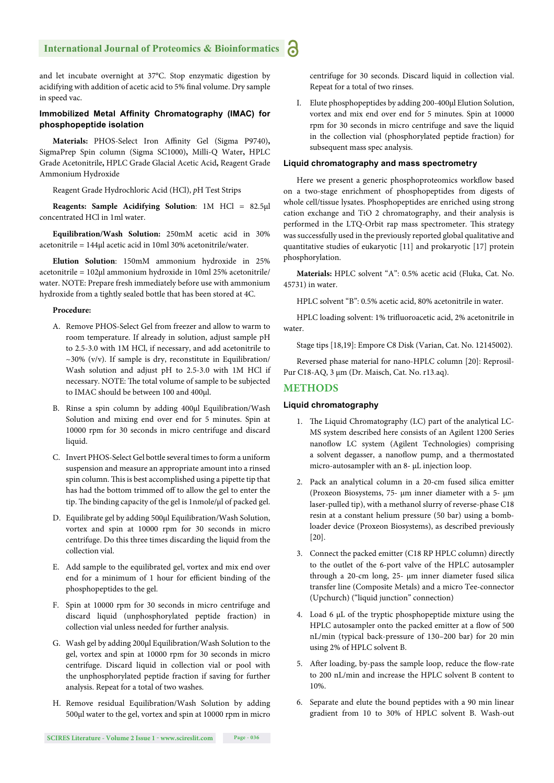and let incubate overnight at 37°C. Stop enzymatic digestion by acidifying with addition of acetic acid to 5% final volume. Dry sample in speed vac.

#### **Immobilized Metal Affinity Chromatography (IMAC) for phosphopeptide isolation**

**Materials:** PHOS-Select Iron Affinity Gel (Sigma P9740), SigmaPrep Spin column (Sigma SC1000)**,** Milli-Q Water**,** HPLC Grade Acetonitrile**,** HPLC Grade Glacial Acetic Acid**,** Reagent Grade Ammonium Hydroxide

Reagent Grade Hydrochloric Acid (HCl), *p*H Test Strips

**Reagents: Sample Acidifying Solution**: 1M HCl = 82.5μl concentrated HCl in 1ml water.

**Equilibration/Wash Solution:** 250mM acetic acid in 30% acetonitrile = 144μl acetic acid in 10ml 30% acetonitrile/water.

**Elution Solution**: 150mM ammonium hydroxide in 25% acetonitrile = 102μl ammonium hydroxide in 10ml 25% acetonitrile/ water. NOTE: Prepare fresh immediately before use with ammonium hydroxide from a tightly sealed bottle that has been stored at 4C.

#### **Procedure:**

- A. Remove PHOS-Select Gel from freezer and allow to warm to room temperature. If already in solution, adjust sample pH to 2.5-3.0 with 1M HCl, if necessary, and add acetonitrile to  $\sim$ 30% (v/v). If sample is dry, reconstitute in Equilibration/ Wash solution and adjust pH to 2.5-3.0 with 1M HCl if necessary. NOTE: The total volume of sample to be subjected to IMAC should be between 100 and 400μl.
- B. Rinse a spin column by adding 400μl Equilibration/Wash Solution and mixing end over end for 5 minutes. Spin at 10000 rpm for 30 seconds in micro centrifuge and discard liquid.
- C. Invert PHOS-Select Gel bottle several times to form a uniform suspension and measure an appropriate amount into a rinsed spin column. This is best accomplished using a pipette tip that has had the bottom trimmed off to allow the gel to enter the tip. The binding capacity of the gel is 1nmole/μl of packed gel.
- D. Equilibrate gel by adding 500μl Equilibration/Wash Solution, vortex and spin at 10000 rpm for 30 seconds in micro centrifuge. Do this three times discarding the liquid from the collection vial.
- E. Add sample to the equilibrated gel, vortex and mix end over end for a minimum of 1 hour for efficient binding of the phosphopeptides to the gel.
- F. Spin at 10000 rpm for 30 seconds in micro centrifuge and discard liquid (unphosphorylated peptide fraction) in collection vial unless needed for further analysis.
- G. Wash gel by adding 200μl Equilibration/Wash Solution to the gel, vortex and spin at 10000 rpm for 30 seconds in micro centrifuge. Discard liquid in collection vial or pool with the unphosphorylated peptide fraction if saving for further analysis. Repeat for a total of two washes.
- H. Remove residual Equilibration/Wash Solution by adding 500μl water to the gel, vortex and spin at 10000 rpm in micro

centrifuge for 30 seconds. Discard liquid in collection vial. Repeat for a total of two rinses.

I. Elute phosphopeptides by adding 200-400μl Elution Solution, vortex and mix end over end for 5 minutes. Spin at 10000 rpm for 30 seconds in micro centrifuge and save the liquid in the collection vial (phosphorylated peptide fraction) for subsequent mass spec analysis.

#### **Liquid chromatography and mass spectrometry**

Here we present a generic phosphoproteomics workflow based on a two-stage enrichment of phosphopeptides from digests of whole cell/tissue lysates. Phosphopeptides are enriched using strong cation exchange and TiO 2 chromatography, and their analysis is performed in the LTQ-Orbit rap mass spectrometer. This strategy was successfully used in the previously reported global qualitative and quantitative studies of eukaryotic [11] and prokaryotic [17] protein phosphorylation.

**Materials:** HPLC solvent "A": 0.5% acetic acid (Fluka, Cat. No. 45731) in water.

HPLC solvent "B": 0.5% acetic acid, 80% acetonitrile in water.

HPLC loading solvent: 1% trifluoroacetic acid, 2% acetonitrile in water.

Stage tips [18,19]: Empore C8 Disk (Varian, Cat. No. 12145002).

Reversed phase material for nano-HPLC column [20]: Reprosil-Pur C18-AQ, 3 μm (Dr. Maisch, Cat. No. r13.aq).

#### **METHODS**

#### **Liquid chromatography**

- 1. The Liquid Chromatography (LC) part of the analytical LC-MS system described here consists of an Agilent 1200 Series nanoflow LC system (Agilent Technologies) comprising a solvent degasser, a nanoflow pump, and a thermostated micro-autosampler with an 8- μL injection loop.
- 2. Pack an analytical column in a 20-cm fused silica emitter (Proxeon Biosystems, 75- μm inner diameter with a 5- μm laser-pulled tip), with a methanol slurry of reverse-phase C18 resin at a constant helium pressure (50 bar) using a bombloader device (Proxeon Biosystems), as described previously [20].
- 3. Connect the packed emitter (C18 RP HPLC column) directly to the outlet of the 6-port valve of the HPLC autosampler through a 20-cm long, 25- μm inner diameter fused silica transfer line (Composite Metals) and a micro Tee-connector (Upchurch) ("liquid junction" connection)
- 4. Load 6 μL of the tryptic phosphopeptide mixture using the HPLC autosampler onto the packed emitter at a flow of 500 nL/min (typical back-pressure of 130–200 bar) for 20 min using 2% of HPLC solvent B.
- 5. After loading, by-pass the sample loop, reduce the flow-rate to 200 nL/min and increase the HPLC solvent B content to 10%.
- 6. Separate and elute the bound peptides with a 90 min linear gradient from 10 to 30% of HPLC solvent B. Wash-out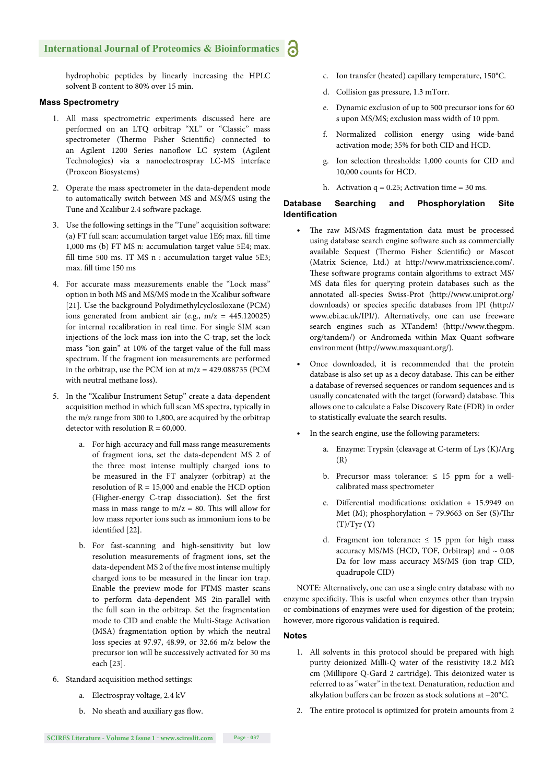hydrophobic peptides by linearly increasing the HPLC solvent B content to 80% over 15 min.

#### **Mass Spectrometry**

- 1. All mass spectrometric experiments discussed here are performed on an LTQ orbitrap "XL" or "Classic" mass spectrometer (Thermo Fisher Scientific) connected to an Agilent 1200 Series nanoflow LC system (Agilent Technologies) via a nanoelectrospray LC-MS interface (Proxeon Biosystems)
- 2. Operate the mass spectrometer in the data-dependent mode to automatically switch between MS and MS/MS using the Tune and Xcalibur 2.4 software package.
- 3. Use the following settings in the "Tune" acquisition software: (a) FT full scan: accumulation target value 1E6; max. fill time 1,000 ms (b) FT MS n: accumulation target value 5E4; max. fill time 500 ms. IT MS  $n$  : accumulation target value 5E3; max. fill time 150 ms
- 4. For accurate mass measurements enable the "Lock mass" option in both MS and MS/MS mode in the Xcalibur software [21]. Use the background Polydimethylcyclosiloxane (PCM) ions generated from ambient air (e.g.,  $m/z = 445.120025$ ) for internal recalibration in real time. For single SIM scan injections of the lock mass ion into the C-trap, set the lock mass "ion gain" at 10% of the target value of the full mass spectrum. If the fragment ion measurements are performed in the orbitrap, use the PCM ion at  $m/z = 429.088735$  (PCM with neutral methane loss).
- 5. In the "Xcalibur Instrument Setup" create a data-dependent acquisition method in which full scan MS spectra, typically in the m/z range from 300 to 1,800, are acquired by the orbitrap detector with resolution  $R = 60,000$ .
	- a. For high-accuracy and full mass range measurements of fragment ions, set the data-dependent MS 2 of the three most intense multiply charged ions to be measured in the FT analyzer (orbitrap) at the resolution of  $R = 15,000$  and enable the HCD option (Higher-energy C-trap dissociation). Set the first mass in mass range to  $m/z = 80$ . This will allow for low mass reporter ions such as immonium ions to be identified [22].
	- b. For fast-scanning and high-sensitivity but low resolution measurements of fragment ions, set the data-dependent MS 2 of the five most intense multiply charged ions to be measured in the linear ion trap. Enable the preview mode for FTMS master scans to perform data-dependent MS 2in-parallel with the full scan in the orbitrap. Set the fragmentation mode to CID and enable the Multi-Stage Activation (MSA) fragmentation option by which the neutral loss species at 97.97, 48.99, or 32.66 m/z below the precursor ion will be successively activated for 30 ms each [23].
- 6. Standard acquisition method settings:
	- a. Electrospray voltage, 2.4 kV
	- b. No sheath and auxiliary gas flow.
- c. Ion transfer (heated) capillary temperature, 150°C.
- d. Collision gas pressure, 1.3 mTorr.
- e. Dynamic exclusion of up to 500 precursor ions for 60 s upon MS/MS; exclusion mass width of 10 ppm.
- f. Normalized collision energy using wide-band activation mode; 35% for both CID and HCD.
- g. Ion selection thresholds: 1,000 counts for CID and 10,000 counts for HCD.
- h. Activation  $q = 0.25$ ; Activation time = 30 ms.

#### **Database Searching and Phosphorylation Site Identification**

- The raw MS/MS fragmentation data must be processed using database search engine software such as commercially available Sequest (Thermo Fisher Scientific) or Mascot (Matrix Science, Ltd.) at http://www.matrixscience.com/. These software programs contain algorithms to extract MS/ MS data files for querying protein databases such as the annotated all-species Swiss-Prot (http://www.uniprot.org/ downloads) or species specific databases from IPI (http:// www.ebi.ac.uk/IPI/). Alternatively, one can use freeware search engines such as XTandem! (http://www.thegpm. org/tandem/) or Andromeda within Max Quant software environment (http://www.maxquant.org/).
- Once downloaded, it is recommended that the protein database is also set up as a decoy database. This can be either a database of reversed sequences or random sequences and is usually concatenated with the target (forward) database. This allows one to calculate a False Discovery Rate (FDR) in order to statistically evaluate the search results.
- In the search engine, use the following parameters:
	- a. Enzyme: Trypsin (cleavage at C-term of Lys (K)/Arg (R)
	- b. Precursor mass tolerance:  $\leq 15$  ppm for a wellcalibrated mass spectrometer
	- c. Differential modifications: oxidation + 15.9949 on Met (M); phosphorylation  $+ 79.9663$  on Ser (S)/Thr  $(T)/Tyr(Y)$
	- d. Fragment ion tolerance:  $\leq 15$  ppm for high mass accuracy MS/MS (HCD, TOF, Orbitrap) and  $\sim 0.08$ Da for low mass accuracy MS/MS (ion trap CID, quadrupole CID)

NOTE: Alternatively, one can use a single entry database with no enzyme specificity. This is useful when enzymes other than trypsin or combinations of enzymes were used for digestion of the protein; however, more rigorous validation is required.

#### **Notes**

- 1. All solvents in this protocol should be prepared with high purity deionized Milli-Q water of the resistivity 18.2 MΩ cm (Millipore Q-Gard 2 cartridge). This deionized water is referred to as "water" in the text. Denaturation, reduction and alkylation buffers can be frozen as stock solutions at −20°C.
- 2. The entire protocol is optimized for protein amounts from 2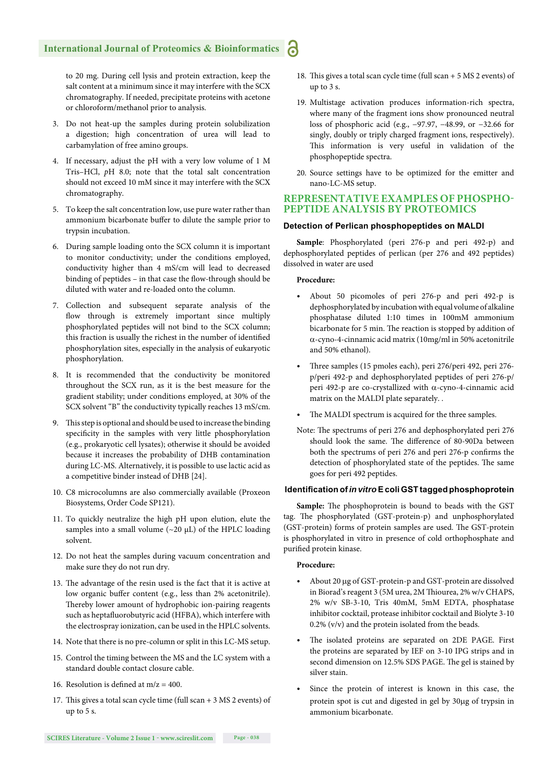to 20 mg. During cell lysis and protein extraction, keep the salt content at a minimum since it may interfere with the SCX chromatography. If needed, precipitate proteins with acetone or chloroform/methanol prior to analysis.

- 3. Do not heat-up the samples during protein solubilization a digestion; high concentration of urea will lead to carbamylation of free amino groups.
- 4. If necessary, adjust the pH with a very low volume of 1 M Tris–HCl, *p*H 8.0; note that the total salt concentration should not exceed 10 mM since it may interfere with the SCX chromatography.
- 5. To keep the salt concentration low, use pure water rather than ammonium bicarbonate buffer to dilute the sample prior to trypsin incubation.
- 6. During sample loading onto the SCX column it is important to monitor conductivity; under the conditions employed, conductivity higher than 4 mS/cm will lead to decreased binding of peptides - in that case the flow-through should be diluted with water and re-loaded onto the column.
- 7. Collection and subsequent separate analysis of the flow through is extremely important since multiply phosphorylated peptides will not bind to the SCX column; this fraction is usually the richest in the number of identified phosphorylation sites, especially in the analysis of eukaryotic phosphorylation.
- 8. It is recommended that the conductivity be monitored throughout the SCX run, as it is the best measure for the gradient stability; under conditions employed, at 30% of the SCX solvent "B" the conductivity typically reaches 13 mS/cm.
- 9. This step is optional and should be used to increase the binding specificity in the samples with very little phosphorylation (e.g., prokaryotic cell lysates); otherwise it should be avoided because it increases the probability of DHB contamination during LC-MS. Alternatively, it is possible to use lactic acid as a competitive binder instead of DHB [24].
- 10. C8 microcolumns are also commercially available (Proxeon Biosystems, Order Code SP121).
- 11. To quickly neutralize the high pH upon elution, elute the samples into a small volume  $({\sim}20 \mu L)$  of the HPLC loading solvent.
- 12. Do not heat the samples during vacuum concentration and make sure they do not run dry.
- 13. The advantage of the resin used is the fact that it is active at low organic buffer content (e.g., less than 2% acetonitrile). Thereby lower amount of hydrophobic ion-pairing reagents such as heptafluorobutyric acid (HFBA), which interfere with the electrospray ionization, can be used in the HPLC solvents.
- 14. Note that there is no pre-column or split in this LC-MS setup.
- 15. Control the timing between the MS and the LC system with a standard double contact closure cable.
- 16. Resolution is defined at  $m/z = 400$ .
- 17. This gives a total scan cycle time (full scan  $+$  3 MS 2 events) of up to 5 s.
- 18. This gives a total scan cycle time (full scan  $+ 5$  MS 2 events) of up to 3 s.
- 19. Multistage activation produces information-rich spectra, where many of the fragment ions show pronounced neutral loss of phosphoric acid (e.g., −97.97, −48.99, or −32.66 for singly, doubly or triply charged fragment ions, respectively). This information is very useful in validation of the phosphopeptide spectra.
- 20. Source settings have to be optimized for the emitter and nano-LC-MS setup.

#### **REPRESENTATIVE EXAMPLES OF PHOSPHO-PEPTIDE ANALYSIS BY PROTEOMICS**

#### **Detection of Perlican phosphopeptides on MALDI**

**Sample**: Phosphorylated (peri 276-p and peri 492-p) and dephosphorylated peptides of perlican (per 276 and 492 peptides) dissolved in water are used

#### **Procedure:**

- About 50 picomoles of peri 276-p and peri 492-p is dephosphorylated by incubation with equal volume of alkaline phosphatase diluted 1:10 times in 100mM ammonium bicarbonate for 5 min. The reaction is stopped by addition of  $\alpha$ -cyno-4-cinnamic acid matrix (10mg/ml in 50% acetonitrile and 50% ethanol).
- Th ree samples (15 pmoles each), peri 276/peri 492, peri 276 p/peri 492-p and dephosphorylated peptides of peri 276-p/ peri 492-p are co-crystallized with  $\alpha$ -cyno-4-cinnamic acid matrix on the MALDI plate separately. .
- The MALDI spectrum is acquired for the three samples.
- Note: The spectrums of peri 276 and dephosphorylated peri 276 should look the same. The difference of 80-90Da between both the spectrums of peri 276 and peri 276-p confirms the detection of phosphorylated state of the peptides. The same goes for peri 492 peptides.

#### **Identifi cation of** *in vitro* **E coli GST tagged phosphoprotein**

Sample: The phosphoprotein is bound to beads with the GST tag. The phosphorylated (GST-protein-p) and unphosphorylated (GST-protein) forms of protein samples are used. The GST-protein is phosphorylated in vitro in presence of cold orthophosphate and purified protein kinase.

#### **Procedure:**

- About 20 µg of GST-protein-p and GST-protein are dissolved in Biorad's reagent 3 (5M urea, 2M Thiourea, 2% w/v CHAPS, 2% w/v SB-3-10, Tris 40mM, 5mM EDTA, phosphatase inhibitor cocktail, protease inhibitor cocktail and Biolyte 3-10 0.2% (v/v) and the protein isolated from the beads.
- The isolated proteins are separated on 2DE PAGE. First the proteins are separated by IEF on 3-10 IPG strips and in second dimension on 12.5% SDS PAGE. The gel is stained by silver stain.
- Since the protein of interest is known in this case, the protein spot is cut and digested in gel by 30µg of trypsin in ammonium bicarbonate.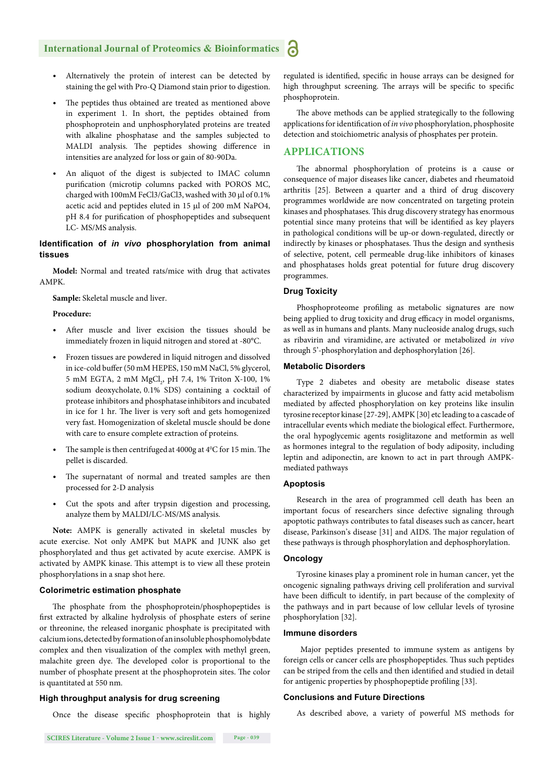- Alternatively the protein of interest can be detected by staining the gel with Pro-Q Diamond stain prior to digestion.
- The peptides thus obtained are treated as mentioned above in experiment 1. In short, the peptides obtained from phosphoprotein and unphosphorylated proteins are treated with alkaline phosphatase and the samples subjected to MALDI analysis. The peptides showing difference in intensities are analyzed for loss or gain of 80-90Da.
- An aliquot of the digest is subjected to IMAC column purification (microtip columns packed with POROS MC, charged with 100mM FeCl3/GaCl3, washed with 30 µl of 0.1% acetic acid and peptides eluted in 15 µl of 200 mM NaPO4, pH 8.4 for purification of phosphopeptides and subsequent LC- MS/MS analysis.

#### **Identifi cation of** *in vivo* **phosphorylation from animal tissues**

**Model:** Normal and treated rats/mice with drug that activates AMPK.

**Sample:** Skeletal muscle and liver.

#### **Procedure:**

- After muscle and liver excision the tissues should be immediately frozen in liquid nitrogen and stored at -80°C.
- Frozen tissues are powdered in liquid nitrogen and dissolved in ice-cold buffer (50 mM HEPES, 150 mM NaCl, 5% glycerol, 5 mM EGTA, 2 mM MgCl<sub>2</sub>, pH 7.4, 1% Triton X-100, 1% sodium deoxycholate, 0.1% SDS) containing a cocktail of protease inhibitors and phosphatase inhibitors and incubated in ice for 1 hr. The liver is very soft and gets homogenized very fast. Homogenization of skeletal muscle should be done with care to ensure complete extraction of proteins.
- The sample is then centrifuged at  $4000g$  at  $4^{\circ}$ C for 15 min. The pellet is discarded.
- The supernatant of normal and treated samples are then processed for 2-D analysis
- Cut the spots and after trypsin digestion and processing, analyze them by MALDI/LC-MS/MS analysis.

**Note:** AMPK is generally activated in skeletal muscles by acute exercise. Not only AMPK but MAPK and JUNK also get phosphorylated and thus get activated by acute exercise. AMPK is activated by AMPK kinase. This attempt is to view all these protein phosphorylations in a snap shot here.

#### **Colorimetric estimation phosphate**

The phosphate from the phosphoprotein/phosphopeptides is first extracted by alkaline hydrolysis of phosphate esters of serine or threonine, the released inorganic phosphate is precipitated with calcium ions, detected by formation of an insoluble phosphomolybdate complex and then visualization of the complex with methyl green, malachite green dye. The developed color is proportional to the number of phosphate present at the phosphoprotein sites. The color is quantitated at 550 nm.

#### **High throughput analysis for drug screening**

Once the disease specific phosphoprotein that is highly

regulated is identified, specific in house arrays can be designed for high throughput screening. The arrays will be specific to specific phosphoprotein.

The above methods can be applied strategically to the following applications for identification of *in vivo* phosphorylation, phosphosite detection and stoichiometric analysis of phosphates per protein.

#### **APPLICATIONS**

The abnormal phosphorylation of proteins is a cause or consequence of major diseases like cancer, diabetes and rheumatoid arthritis [25]. Between a quarter and a third of drug discovery programmes worldwide are now concentrated on targeting protein kinases and phosphatases. This drug discovery strategy has enormous potential since many proteins that will be identified as key players in pathological conditions will be up-or down-regulated, directly or indirectly by kinases or phosphatases. Thus the design and synthesis of selective, potent, cell permeable drug-like inhibitors of kinases and phosphatases holds great potential for future drug discovery programmes.

#### **Drug Toxicity**

Phosphoproteome profiling as metabolic signatures are now being applied to drug toxicity and drug efficacy in model organisms, as well as in humans and plants. Many nucleoside analog drugs, such as ribavirin and viramidine, are activated or metabolized *in vivo* through 5'-phosphorylation and dephosphorylation [26].

#### **Metabolic Disorders**

Type 2 diabetes and obesity are metabolic disease states characterized by impairments in glucose and fatty acid metabolism mediated by affected phosphorylation on key proteins like insulin tyrosine receptor kinase [27-29], AMPK [30] etc leading to a cascade of intracellular events which mediate the biological effect. Furthermore, the oral hypoglycemic agents rosiglitazone and metformin as well as hormones integral to the regulation of body adiposity, including leptin and adiponectin, are known to act in part through AMPKmediated pathways

#### **Apoptosis**

Research in the area of programmed cell death has been an important focus of researchers since defective signaling through apoptotic pathways contributes to fatal diseases such as cancer, heart disease, Parkinson's disease [31] and AIDS. The major regulation of these pathways is through phosphorylation and dephosphorylation.

#### **Oncology**

Tyrosine kinases play a prominent role in human cancer, yet the oncogenic signaling pathways driving cell proliferation and survival have been difficult to identify, in part because of the complexity of the pathways and in part because of low cellular levels of tyrosine phosphorylation [32].

#### **Immune disorders**

 Major peptides presented to immune system as antigens by foreign cells or cancer cells are phosphopeptides. Thus such peptides can be striped from the cells and then identified and studied in detail for antigenic properties by phosphopeptide profiling [33].

#### **Conclusions and Future Directions**

As described above, a variety of powerful MS methods for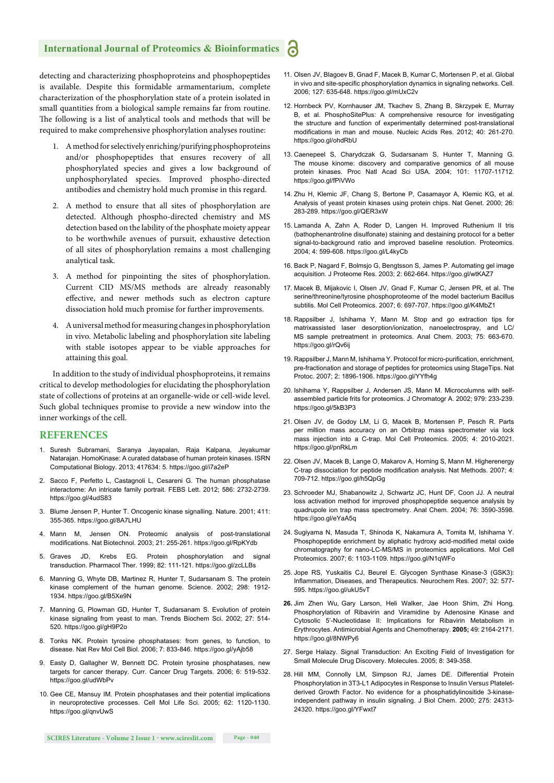detecting and characterizing phosphoproteins and phosphopeptides is available. Despite this formidable armamentarium, complete characterization of the phosphorylation state of a protein isolated in small quantities from a biological sample remains far from routine. The following is a list of analytical tools and methods that will be required to make comprehensive phosphorylation analyses routine:

- 1. A method for selectively enriching/purifying phosphoproteins and/or phosphopeptides that ensures recovery of all phosphorylated species and gives a low background of unphosphorylated species. Improved phospho-directed antibodies and chemistry hold much promise in this regard.
- 2. A method to ensure that all sites of phosphorylation are detected. Although phospho-directed chemistry and MS detection based on the lability of the phosphate moiety appear to be worthwhile avenues of pursuit, exhaustive detection of all sites of phosphorylation remains a most challenging analytical task.
- 3. A method for pinpointing the sites of phosphorylation. Current CID MS/MS methods are already reasonably effective, and newer methods such as electron capture dissociation hold much promise for further improvements.
- 4. A universal method for measuring changes in phosphorylation in vivo. Metabolic labeling and phosphorylation site labeling with stable isotopes appear to be viable approaches for attaining this goal.

In addition to the study of individual phosphoproteins, it remains critical to develop methodologies for elucidating the phosphorylation state of collections of proteins at an organelle-wide or cell-wide level. Such global techniques promise to provide a new window into the inner workings of the cell.

#### **REFERENCES**

- 1. Suresh Subramani, Saranya Jayapalan, Raja Kalpana, Jeyakumar Natarajan. HomoKinase: A curated database of human protein kinases. ISRN Computational Biology. 2013; 417634: 5. https://goo.gl/i7a2eP
- 2. Sacco F, Perfetto L, Castagnoli L, Cesareni G. The human phosphatase interactome: An intricate family portrait. FEBS Lett. 2012; 586: 2732-2739. https://goo.gl/4udS83
- 3. Blume Jensen P, Hunter T. Oncogenic kinase signalling. Nature. 2001; 411: 355-365. https://goo.gl/8A7LHU
- 4. Mann M, Jensen ON. Proteomic analysis of post-translational modifications. Nat Biotechnol. 2003; 21: 255-261. https://goo.gl/RpKYdb
- 5. Graves JD, Krebs EG. Protein phosphorylation and signal transduction. Pharmacol Ther. 1999; 82: 111-121. https://goo.gl/zcLLBs
- 6. Manning G, Whyte DB, Martinez R, Hunter T, Sudarsanam S. The protein kinase complement of the human genome. Science. 2002; 298: 1912- 1934. https://goo.gl/B5Xe9N
- 7. Manning G, Plowman GD, Hunter T, Sudarsanam S. Evolution of protein kinase signaling from yeast to man. Trends Biochem Sci. 2002; 27: 514- 520. https://goo.gl/gH9P2o
- 8. Tonks NK. Protein tyrosine phosphatases: from genes, to function, to disease. Nat Rev Mol Cell Biol. 2006; 7: 833-846. https://goo.gl/yAjb58
- 9. Easty D, Gallagher W, Bennett DC. Protein tyrosine phosphatases, new targets for cancer therapy. Curr. Cancer Drug Targets. 2006; 6: 519-532. https://goo.gl/udWbPv
- 10. Gee CE, Mansuy IM. Protein phosphatases and their potential implications in neuroprotective processes. Cell Mol Life Sci. 2005; 62: 1120-1130. https://goo.gl/gnvUwS
- 11. Olsen JV, Blagoev B, Gnad F, Macek B, Kumar C, Mortensen P, et al. Global in vivo and site-specific phosphorylation dynamics in signaling networks. Cell. 2006; 127: 635-648. https://goo.gl/mUxC2v
- 12. Hornbeck PV, Kornhauser JM, Tkachev S, Zhang B, Skrzypek E, Murray B, et al. PhosphoSitePlus: A comprehensive resource for investigating the structure and function of experimentally determined post-translational modifications in man and mouse. Nucleic Acids Res. 2012; 40: 261-270. https://goo.gl/ohdRbU
- 13. Caenepeel S, Charydczak G, Sudarsanam S, Hunter T, Manning G. The mouse kinome: discovery and comparative genomics of all mouse protein kinases. Proc Natl Acad Sci USA. 2004; 101: 11707-11712. https://goo.gl/fPiVWo
- 14. Zhu H, Klemic JF, Chang S, Bertone P, Casamayor A, Klemic KG, et al. Analysis of yeast protein kinases using protein chips. Nat Genet. 2000; 26: 283-289. https://goo.gl/QER3xW
- 15. Lamanda A, Zahn A, Roder D, Langen H. Improved Ruthenium II tris (bathophenantroline disulfonate) staining and destaining protocol for a better signal-to-background ratio and improved baseline resolution. Proteomics. 2004; 4: 599-608. https://goo.gl/L4kyCb
- 16. Back P, Nagard F, Bolmsjo G, Bengtsson S, James P. Automating gel image acquisition. J Proteome Res. 2003; 2: 662-664. https://goo.gl/wtKAZ7
- 17. Macek B, Mijakovic I, Olsen JV, Gnad F, Kumar C, Jensen PR, et al. The serine/threonine/tyrosine phosphoproteome of the model bacterium Bacillus subtilis. Mol Cell Proteomics. 2007; 6: 697-707. https://goo.gl/K4MbZ1
- 18. Rappsilber J, Ishihama Y, Mann M. Stop and go extraction tips for matrixassisted laser desorption/ionization, nanoelectrospray, and LC/ MS sample pretreatment in proteomics. Anal Chem. 2003; 75: 663-670. https://goo.gl/rQv6ii
- 19. Rappsilber J, Mann M, Ishihama Y. Protocol for micro-purification, enrichment, pre-fractionation and storage of peptides for proteomics using StageTips. Nat Protoc. 2007; 2: 1896-1906. https://goo.gl/YYfh4g
- 20. Ishihama Y, Rappsilber J, Andersen JS, Mann M. Microcolumns with selfassembled particle frits for proteomics. J Chromatogr A. 2002; 979: 233-239. https://goo.gl/5kB3P3
- 21. Olsen JV, de Godoy LM, Li G, Macek B, Mortensen P, Pesch R. Parts per million mass accuracy on an Orbitrap mass spectrometer via lock mass injection into a C-trap. Mol Cell Proteomics. 2005; 4: 2010-2021. https://goo.gl/pnRkLm
- 22. Olsen JV, Macek B, Lange O, Makarov A, Horning S, Mann M. Higherenergy C-trap dissociation for peptide modification analysis. Nat Methods. 2007: 4: 709-712. https://goo.gl/h5QpGg
- 23. Schroeder MJ, Shabanowitz J, Schwartz JC, Hunt DF, Coon JJ. A neutral loss activation method for improved phosphopeptide sequence analysis by quadrupole ion trap mass spectrometry. Anal Chem. 2004; 76: 3590-3598. https://goo.gl/eYaA5q
- 24. Sugiyama N, Masuda T, Shinoda K, Nakamura A, Tomita M, Ishihama Y. Phosphopeptide enrichment by aliphatic hydroxy acid-modified metal oxide chromatography for nano-LC-MS/MS in proteomics applications. Mol Cell Proteomics. 2007; 6: 1103-1109. https://goo.gl/N1qWFo
- 25. Jope RS, Yuskaitis CJ, Beurel E. Glycogen Synthase Kinase-3 (GSK3): Inflammation, Diseases, and Therapeutics. Neurochem Res. 2007; 32: 577-595. https://goo.gl/ukU5vT
- **26.** Jim Zhen Wu, Gary Larson, Heli Walker, Jae Hoon Shim, Zhi Hong. Phosphorylation of Ribavirin and Viramidine by Adenosine Kinase and Cytosolic 5'-Nucleotidase II: Implications for Ribavirin Metabolism in Erythrocyte s. Antimicrobial Agents and Chemotherapy. **2005;** 49: 2164-2171. https://goo.gl/8NWPy6
- 27. Serge Halazy. Signal Transduction: An Exciting Field of Investigation for Small Molecule Drug Discovery. Molecules. 2005; 8: 349-358.
- 28. Hill MM, Connolly LM, Simpson RJ, James DE. Differential Protein Phosphorylation in 3T3-L1 Adipocytes in Response to Insulin Versu*s* Plateletderived Growth Factor. No evidence for a phosphatidylinositide 3-kinaseindependent pathway in insulin signaling. J Biol Chem. 2000; 275: 24313- 24320. https://goo.gl/YFwxt7